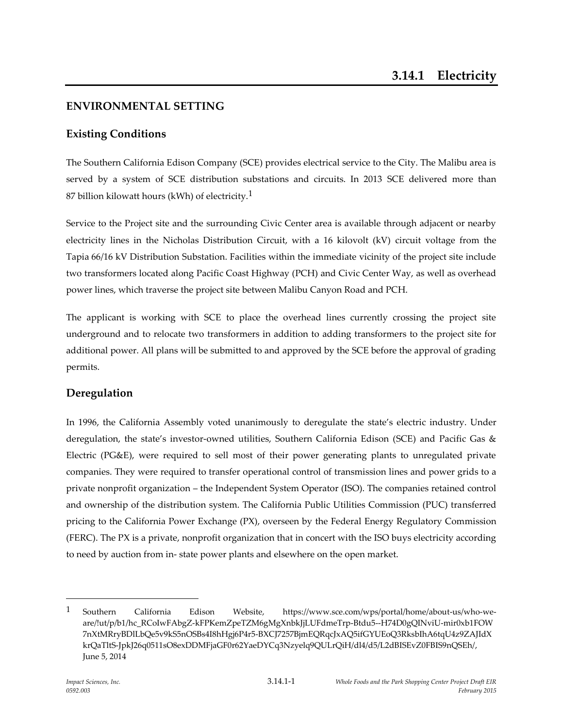# **ENVIRONMENTAL SETTING**

# **Existing Conditions**

The Southern California Edison Company (SCE) provides electrical service to the City. The Malibu area is served by a system of SCE distribution substations and circuits. In 2013 SCE delivered more than 87 billion kilowatt hours (kWh) of electricity.<sup>1</sup>

Service to the Project site and the surrounding Civic Center area is available through adjacent or nearby electricity lines in the Nicholas Distribution Circuit, with a 16 kilovolt (kV) circuit voltage from the Tapia 66/16 kV Distribution Substation. Facilities within the immediate vicinity of the project site include two transformers located along Pacific Coast Highway (PCH) and Civic Center Way, as well as overhead power lines, which traverse the project site between Malibu Canyon Road and PCH.

The applicant is working with SCE to place the overhead lines currently crossing the project site underground and to relocate two transformers in addition to adding transformers to the project site for additional power. All plans will be submitted to and approved by the SCE before the approval of grading permits.

### **Deregulation**

In 1996, the California Assembly voted unanimously to deregulate the state's electric industry. Under deregulation, the state's investor-owned utilities, Southern California Edison (SCE) and Pacific Gas & Electric (PG&E), were required to sell most of their power generating plants to unregulated private companies. They were required to transfer operational control of transmission lines and power grids to a private nonprofit organization – the Independent System Operator (ISO). The companies retained control and ownership of the distribution system. The California Public Utilities Commission (PUC) transferred pricing to the California Power Exchange (PX), overseen by the Federal Energy Regulatory Commission (FERC). The PX is a private, nonprofit organization that in concert with the ISO buys electricity according to need by auction from in- state power plants and elsewhere on the open market.

<sup>1</sup> Southern California Edison Website, https://www.sce.com/wps/portal/home/about-us/who-weare/!ut/p/b1/hc\_RCoIwFAbgZ-kFPKemZpeTZM6gMgXnbkJjLUFdmeTrp-Btdu5--H74D0gQINviU-mir0xb1FOW 7nXtMRryBDlLbQe5v9kS5nOSBs4I8hHgj6P4r5-BXCJ7257BjmEQRqcJxAQ5ifGYUEoQ3RksbIhA6tqU4z9ZAJIdX krQaTltS-JpkJ26q0511sO8exDDMFjaGF0r62YaeDYCq3Nzyelq9QULrQiH/dl4/d5/L2dBISEvZ0FBIS9nQSEh/, June 5, 2014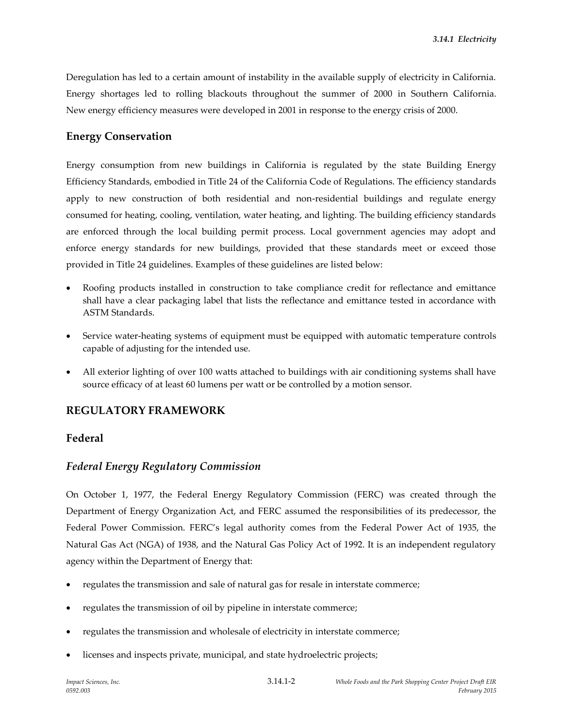Deregulation has led to a certain amount of instability in the available supply of electricity in California. Energy shortages led to rolling blackouts throughout the summer of 2000 in Southern California. New energy efficiency measures were developed in 2001 in response to the energy crisis of 2000.

### **Energy Conservation**

Energy consumption from new buildings in California is regulated by the state Building Energy Efficiency Standards, embodied in Title 24 of the California Code of Regulations. The efficiency standards apply to new construction of both residential and non-residential buildings and regulate energy consumed for heating, cooling, ventilation, water heating, and lighting. The building efficiency standards are enforced through the local building permit process. Local government agencies may adopt and enforce energy standards for new buildings, provided that these standards meet or exceed those provided in Title 24 guidelines. Examples of these guidelines are listed below:

- Roofing products installed in construction to take compliance credit for reflectance and emittance shall have a clear packaging label that lists the reflectance and emittance tested in accordance with ASTM Standards.
- Service water-heating systems of equipment must be equipped with automatic temperature controls capable of adjusting for the intended use.
- All exterior lighting of over 100 watts attached to buildings with air conditioning systems shall have source efficacy of at least 60 lumens per watt or be controlled by a motion sensor.

### **REGULATORY FRAMEWORK**

### **Federal**

### *Federal Energy Regulatory Commission*

On October 1, 1977, the Federal Energy Regulatory Commission (FERC) was created through the Department of Energy Organization Act, and FERC assumed the responsibilities of its predecessor, the Federal Power Commission. FERC's legal authority comes from the Federal Power Act of 1935, the Natural Gas Act (NGA) of 1938, and the Natural Gas Policy Act of 1992. It is an independent regulatory agency within the Department of Energy that:

- regulates the transmission and sale of natural gas for resale in interstate commerce;
- regulates the transmission of oil by pipeline in interstate commerce;
- regulates the transmission and wholesale of electricity in interstate commerce;
- licenses and inspects private, municipal, and state hydroelectric projects;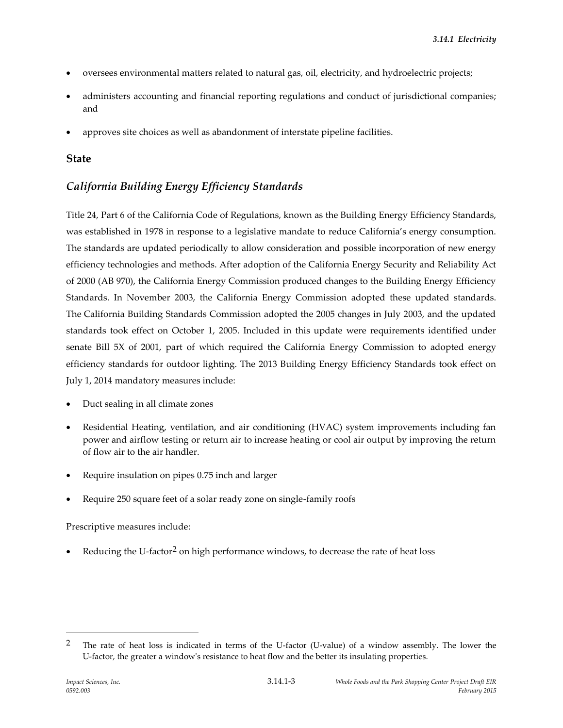- oversees environmental matters related to natural gas, oil, electricity, and hydroelectric projects;
- administers accounting and financial reporting regulations and conduct of jurisdictional companies; and
- approves site choices as well as abandonment of interstate pipeline facilities.

### **State**

## *California Building Energy Efficiency Standards*

Title 24, Part 6 of the California Code of Regulations, known as the Building Energy Efficiency Standards, was established in 1978 in response to a legislative mandate to reduce California's energy consumption. The standards are updated periodically to allow consideration and possible incorporation of new energy efficiency technologies and methods. After adoption of the California Energy Security and Reliability Act of 2000 (AB 970), the California Energy Commission produced changes to the Building Energy Efficiency Standards. In November 2003, the California Energy Commission adopted these updated standards. The California Building Standards Commission adopted the 2005 changes in July 2003, and the updated standards took effect on October 1, 2005. Included in this update were requirements identified under senate Bill 5X of 2001, part of which required the California Energy Commission to adopted energy efficiency standards for outdoor lighting. The 2013 Building Energy Efficiency Standards took effect on July 1, 2014 mandatory measures include:

- Duct sealing in all climate zones
- Residential Heating, ventilation, and air conditioning (HVAC) system improvements including fan power and airflow testing or return air to increase heating or cool air output by improving the return of flow air to the air handler.
- Require insulation on pipes 0.75 inch and larger
- Require 250 square feet of a solar ready zone on single-family roofs

Prescriptive measures include:

Reducing the U-factor<sup>2</sup> on high performance windows, to decrease the rate of heat loss

<sup>&</sup>lt;sup>2</sup> The rate of heat loss is indicated in terms of the U-factor (U-value) of a window assembly. The lower the U-factor, the greater a window's resistance to heat flow and the better its insulating properties.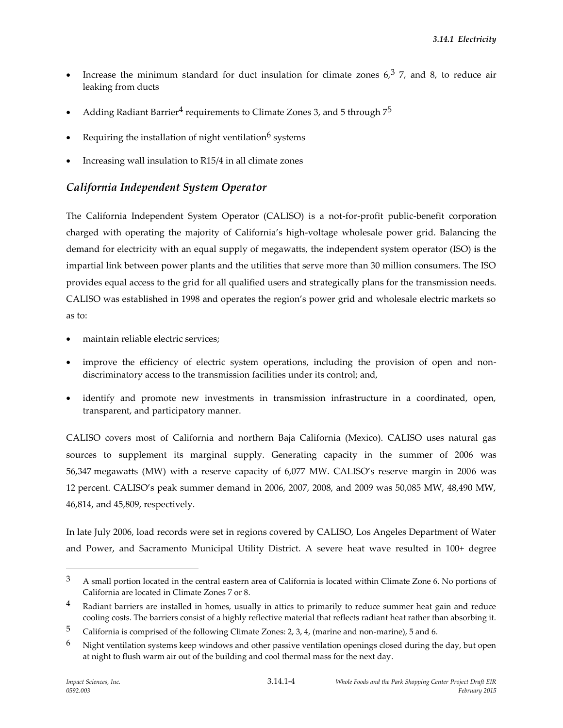- Increase the minimum standard for duct insulation for climate zones  $6<sub>2</sub>$ <sup>3</sup> 7, and 8, to reduce air leaking from ducts
- Adding Radiant Barrier<sup>4</sup> requirements to Climate Zones 3, and 5 through  $7^5$
- Requiring the installation of night ventilation $\delta$  systems
- Increasing wall insulation to R15/4 in all climate zones

### *California Independent System Operator*

The California Independent System Operator (CALISO) is a not-for-profit public-benefit corporation charged with operating the majority of California's high-voltage wholesale power grid. Balancing the demand for electricity with an equal supply of megawatts, the independent system operator (ISO) is the impartial link between power plants and the utilities that serve more than 30 million consumers. The ISO provides equal access to the grid for all qualified users and strategically plans for the transmission needs. CALISO was established in 1998 and operates the region's power grid and wholesale electric markets so as to:

- maintain reliable electric services;
- improve the efficiency of electric system operations, including the provision of open and nondiscriminatory access to the transmission facilities under its control; and,
- identify and promote new investments in transmission infrastructure in a coordinated, open, transparent, and participatory manner.

CALISO covers most of California and northern Baja California (Mexico). CALISO uses natural gas sources to supplement its marginal supply. Generating capacity in the summer of 2006 was 56,347 megawatts (MW) with a reserve capacity of 6,077 MW. CALISO's reserve margin in 2006 was 12 percent. CALISO's peak summer demand in 2006, 2007, 2008, and 2009 was 50,085 MW, 48,490 MW, 46,814, and 45,809, respectively.

In late July 2006, load records were set in regions covered by CALISO, Los Angeles Department of Water and Power, and Sacramento Municipal Utility District. A severe heat wave resulted in 100+ degree

 $3$  A small portion located in the central eastern area of California is located within Climate Zone 6. No portions of California are located in Climate Zones 7 or 8.

<sup>&</sup>lt;sup>4</sup> Radiant barriers are installed in homes, usually in attics to primarily to reduce summer heat gain and reduce cooling costs. The barriers consist of a highly reflective material that reflects radiant heat rather than absorbing it.

<sup>5</sup> California is comprised of the following Climate Zones: 2, 3, 4, (marine and non-marine), 5 and 6.

 $6$  Night ventilation systems keep windows and other passive ventilation openings closed during the day, but open at night to flush warm air out of the building and cool thermal mass for the next day.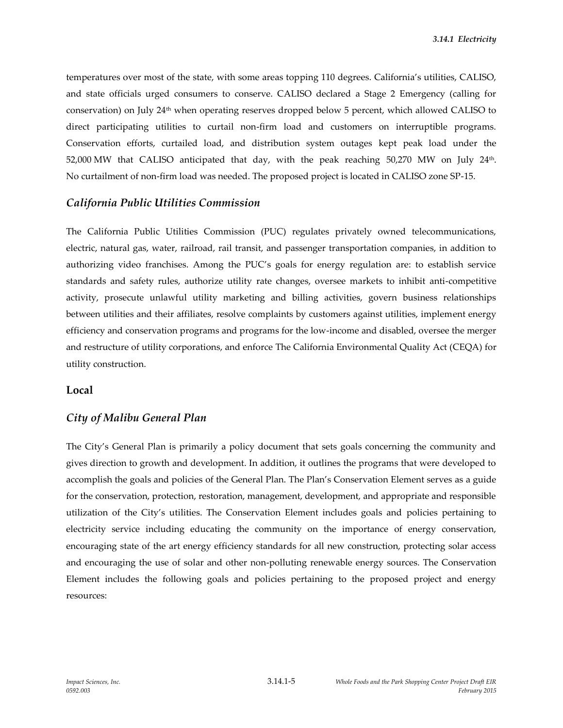temperatures over most of the state, with some areas topping 110 degrees. California's utilities, CALISO, and state officials urged consumers to conserve. CALISO declared a Stage 2 Emergency (calling for conservation) on July 24th when operating reserves dropped below 5 percent, which allowed CALISO to direct participating utilities to curtail non-firm load and customers on interruptible programs. Conservation efforts, curtailed load, and distribution system outages kept peak load under the 52,000 MW that CALISO anticipated that day, with the peak reaching  $50,270$  MW on July 24<sup>th</sup>. No curtailment of non-firm load was needed. The proposed project is located in CALISO zone SP-15.

#### *California Public Utilities Commission*

The California Public Utilities Commission (PUC) regulates privately owned telecommunications, electric, natural gas, water, railroad, rail transit, and passenger transportation companies, in addition to authorizing video franchises. Among the PUC's goals for energy regulation are: to establish service standards and safety rules, authorize utility rate changes, oversee markets to inhibit anti-competitive activity, prosecute unlawful utility marketing and billing activities, govern business relationships between utilities and their affiliates, resolve complaints by customers against utilities, implement energy efficiency and conservation programs and programs for the low-income and disabled, oversee the merger and restructure of utility corporations, and enforce The California Environmental Quality Act (CEQA) for utility construction.

#### **Local**

#### *City of Malibu General Plan*

The City's General Plan is primarily a policy document that sets goals concerning the community and gives direction to growth and development. In addition, it outlines the programs that were developed to accomplish the goals and policies of the General Plan. The Plan's Conservation Element serves as a guide for the conservation, protection, restoration, management, development, and appropriate and responsible utilization of the City's utilities. The Conservation Element includes goals and policies pertaining to electricity service including educating the community on the importance of energy conservation, encouraging state of the art energy efficiency standards for all new construction, protecting solar access and encouraging the use of solar and other non-polluting renewable energy sources. The Conservation Element includes the following goals and policies pertaining to the proposed project and energy resources: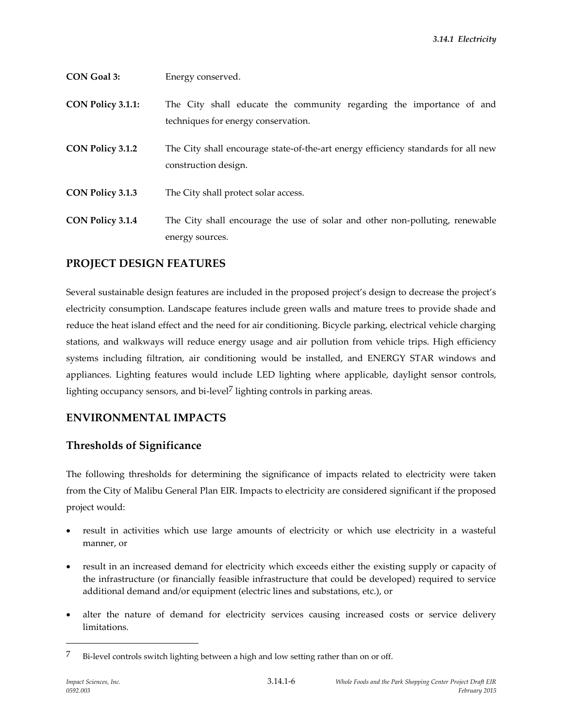| <b>CON Goal 3:</b>      | Energy conserved.                                                                                           |
|-------------------------|-------------------------------------------------------------------------------------------------------------|
| CON Policy 3.1.1:       | The City shall educate the community regarding the importance of and<br>techniques for energy conservation. |
| CON Policy 3.1.2        | The City shall encourage state-of-the-art energy efficiency standards for all new<br>construction design.   |
| CON Policy 3.1.3        | The City shall protect solar access.                                                                        |
| <b>CON Policy 3.1.4</b> | The City shall encourage the use of solar and other non-polluting, renewable<br>energy sources.             |

### **PROJECT DESIGN FEATURES**

Several sustainable design features are included in the proposed project's design to decrease the project's electricity consumption. Landscape features include green walls and mature trees to provide shade and reduce the heat island effect and the need for air conditioning. Bicycle parking, electrical vehicle charging stations, and walkways will reduce energy usage and air pollution from vehicle trips. High efficiency systems including filtration, air conditioning would be installed, and ENERGY STAR windows and appliances. Lighting features would include LED lighting where applicable, daylight sensor controls, lighting occupancy sensors, and bi-level<sup>7</sup> lighting controls in parking areas.

### **ENVIRONMENTAL IMPACTS**

### **Thresholds of Significance**

The following thresholds for determining the significance of impacts related to electricity were taken from the City of Malibu General Plan EIR. Impacts to electricity are considered significant if the proposed project would:

- result in activities which use large amounts of electricity or which use electricity in a wasteful manner, or
- result in an increased demand for electricity which exceeds either the existing supply or capacity of the infrastructure (or financially feasible infrastructure that could be developed) required to service additional demand and/or equipment (electric lines and substations, etc.), or
- alter the nature of demand for electricity services causing increased costs or service delivery limitations.

<sup>7</sup> Bi-level controls switch lighting between a high and low setting rather than on or off.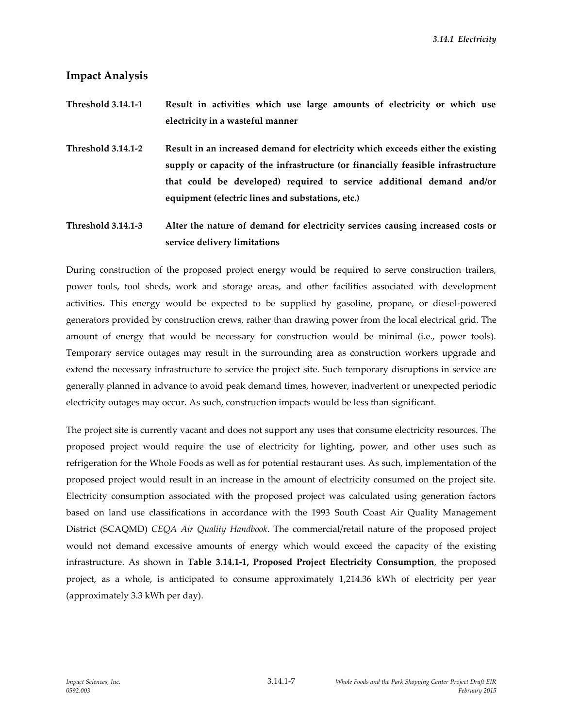*3.14.1 Electricity*

#### **Impact Analysis**

- **Threshold 3.14.1-1 Result in activities which use large amounts of electricity or which use electricity in a wasteful manner**
- **Threshold 3.14.1-2 Result in an increased demand for electricity which exceeds either the existing supply or capacity of the infrastructure (or financially feasible infrastructure that could be developed) required to service additional demand and/or equipment (electric lines and substations, etc.)**

**Threshold 3.14.1-3 Alter the nature of demand for electricity services causing increased costs or service delivery limitations**

During construction of the proposed project energy would be required to serve construction trailers, power tools, tool sheds, work and storage areas, and other facilities associated with development activities. This energy would be expected to be supplied by gasoline, propane, or diesel-powered generators provided by construction crews, rather than drawing power from the local electrical grid. The amount of energy that would be necessary for construction would be minimal (i.e., power tools). Temporary service outages may result in the surrounding area as construction workers upgrade and extend the necessary infrastructure to service the project site. Such temporary disruptions in service are generally planned in advance to avoid peak demand times, however, inadvertent or unexpected periodic electricity outages may occur. As such, construction impacts would be less than significant.

The project site is currently vacant and does not support any uses that consume electricity resources. The proposed project would require the use of electricity for lighting, power, and other uses such as refrigeration for the Whole Foods as well as for potential restaurant uses. As such, implementation of the proposed project would result in an increase in the amount of electricity consumed on the project site. Electricity consumption associated with the proposed project was calculated using generation factors based on land use classifications in accordance with the 1993 South Coast Air Quality Management District (SCAQMD) *CEQA Air Quality Handbook*. The commercial/retail nature of the proposed project would not demand excessive amounts of energy which would exceed the capacity of the existing infrastructure. As shown in **Table 3.14.1-1, Proposed Project Electricity Consumption**, the proposed project, as a whole, is anticipated to consume approximately 1,214.36 kWh of electricity per year (approximately 3.3 kWh per day).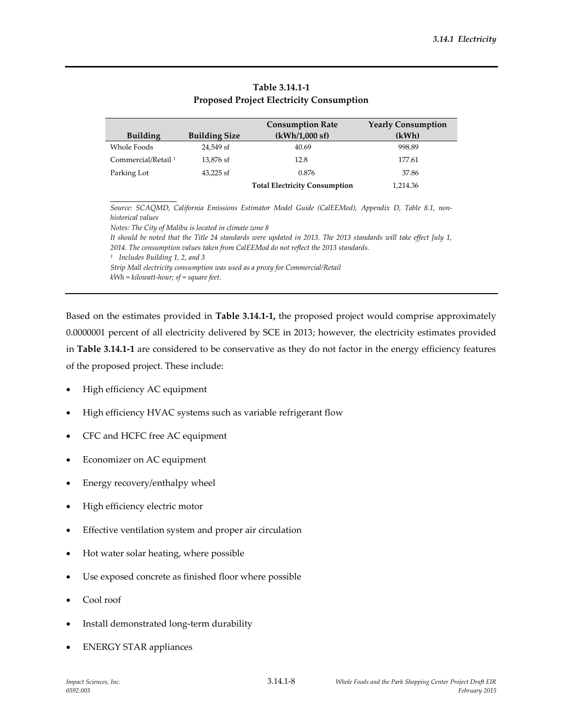|                                                                                                                                                                                                                                                                                                                                                                                      |                      | <b>Consumption Rate</b> | <b>Yearly Consumption</b> |  |  |  |
|--------------------------------------------------------------------------------------------------------------------------------------------------------------------------------------------------------------------------------------------------------------------------------------------------------------------------------------------------------------------------------------|----------------------|-------------------------|---------------------------|--|--|--|
| <b>Building</b>                                                                                                                                                                                                                                                                                                                                                                      | <b>Building Size</b> | (kWh/1,000 sf)          | (kWh)                     |  |  |  |
| Whole Foods                                                                                                                                                                                                                                                                                                                                                                          | 24,549 sf            | 40.69                   | 998.89                    |  |  |  |
| Commercial/Retail <sup>1</sup>                                                                                                                                                                                                                                                                                                                                                       | 13.876 sf            | 12.8                    | 177.61                    |  |  |  |
| Parking Lot                                                                                                                                                                                                                                                                                                                                                                          | $43,225$ sf          | 0.876                   | 37.86                     |  |  |  |
| <b>Total Electricity Consumption</b><br>1,214.36                                                                                                                                                                                                                                                                                                                                     |                      |                         |                           |  |  |  |
| Source: SCAQMD, California Emissions Estimator Model Guide (CalEEMod), Appendix D, Table 8.1, non-<br>historical values                                                                                                                                                                                                                                                              |                      |                         |                           |  |  |  |
| Notes: The City of Malibu is located in climate zone 8                                                                                                                                                                                                                                                                                                                               |                      |                         |                           |  |  |  |
| It should be noted that the Title 24 standards were updated in 2013. The 2013 standards will take effect July 1,<br>2014. The consumption values taken from CalEEMod do not reflect the 2013 standards.<br>Includes Building 1, 2, and 3<br>$\mathbf{1}$<br>Strip Mall electricity consumption was used as a proxy for Commercial/Retail<br>$kWh = kilowatt-hour; sf = square feet.$ |                      |                         |                           |  |  |  |

#### **Table 3.14.1-1 Proposed Project Electricity Consumption**

Based on the estimates provided in **Table 3.14.1-1,** the proposed project would comprise approximately 0.0000001 percent of all electricity delivered by SCE in 2013; however, the electricity estimates provided in **Table 3.14.1-1** are considered to be conservative as they do not factor in the energy efficiency features of the proposed project. These include:

- High efficiency AC equipment
- High efficiency HVAC systems such as variable refrigerant flow
- CFC and HCFC free AC equipment
- Economizer on AC equipment
- Energy recovery/enthalpy wheel
- High efficiency electric motor
- Effective ventilation system and proper air circulation
- Hot water solar heating, where possible
- Use exposed concrete as finished floor where possible
- Cool roof
- Install demonstrated long-term durability
- ENERGY STAR appliances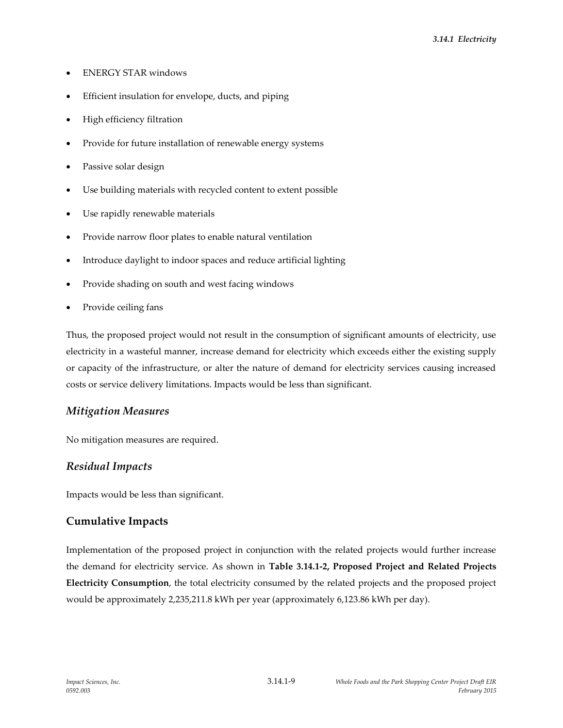- ENERGY STAR windows
- Efficient insulation for envelope, ducts, and piping
- High efficiency filtration
- Provide for future installation of renewable energy systems
- Passive solar design
- Use building materials with recycled content to extent possible
- Use rapidly renewable materials
- Provide narrow floor plates to enable natural ventilation
- Introduce daylight to indoor spaces and reduce artificial lighting
- Provide shading on south and west facing windows
- Provide ceiling fans

Thus, the proposed project would not result in the consumption of significant amounts of electricity, use electricity in a wasteful manner, increase demand for electricity which exceeds either the existing supply or capacity of the infrastructure, or alter the nature of demand for electricity services causing increased costs or service delivery limitations. Impacts would be less than significant.

#### *Mitigation Measures*

No mitigation measures are required.

#### *Residual Impacts*

Impacts would be less than significant.

### **Cumulative Impacts**

Implementation of the proposed project in conjunction with the related projects would further increase the demand for electricity service. As shown in **Table 3.14.1-2, Proposed Project and Related Projects Electricity Consumption**, the total electricity consumed by the related projects and the proposed project would be approximately 2,235,211.8 kWh per year (approximately 6,123.86 kWh per day).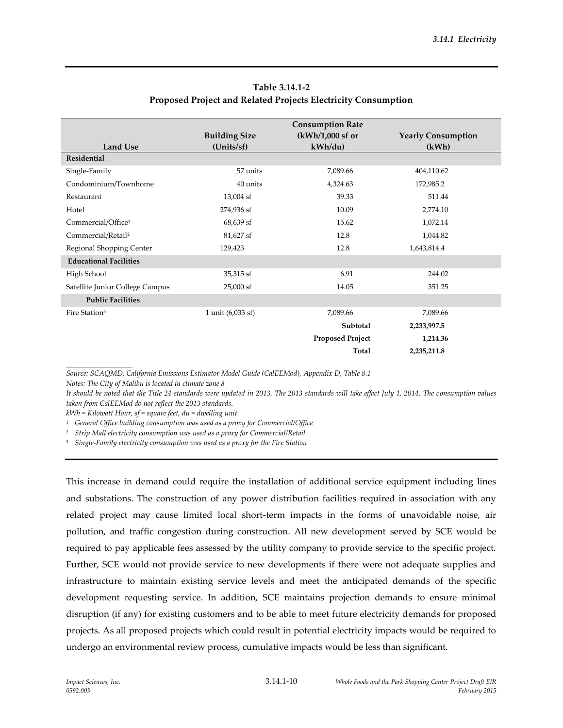|                                 | <b>Consumption Rate</b> |                         |                           |  |
|---------------------------------|-------------------------|-------------------------|---------------------------|--|
|                                 | <b>Building Size</b>    | (kWh/1,000 sf or        | <b>Yearly Consumption</b> |  |
| Land Use                        | (Units/sf)              | kWh/du                  | (kWh)                     |  |
| <b>Residential</b>              |                         |                         |                           |  |
| Single-Family                   | 57 units                | 7,089.66                | 404,110.62                |  |
| Condominium/Townhome            | 40 units                | 4,324.63                | 172,985.2                 |  |
| Restaurant                      | $13,004$ sf             | 39.33                   | 511.44                    |  |
| Hotel                           | 274,936 sf              | 10.09                   | 2,774.10                  |  |
| Commercial/Office <sup>1</sup>  | 68,639 sf               | 15.62                   | 1,072.14                  |  |
| Commercial/Retail <sup>2</sup>  | 81,627 sf               | 12.8                    | 1,044.82                  |  |
| Regional Shopping Center        | 129,423                 | 12.8                    | 1,643,814.4               |  |
| <b>Educational Facilities</b>   |                         |                         |                           |  |
| High School                     | 35,315 sf               | 6.91                    | 244.02                    |  |
| Satellite Junior College Campus | $25,000$ sf             | 14.05                   | 351.25                    |  |
| <b>Public Facilities</b>        |                         |                         |                           |  |
| Fire Station <sup>3</sup>       | 1 unit (6,033 sf)       | 7,089.66                | 7,089.66                  |  |
|                                 |                         | Subtotal                | 2,233,997.5               |  |
|                                 |                         | <b>Proposed Project</b> | 1,214.36                  |  |
|                                 |                         | Total                   | 2,235,211.8               |  |

### **Table 3.14.1-2 Proposed Project and Related Projects Electricity Consumption**

*Source: SCAQMD, California Emissions Estimator Model Guide (CalEEMod), Appendix D, Table 8.1*

*Notes: The City of Malibu is located in climate zone 8*

*It should be noted that the Title 24 standards were updated in 2013. The 2013 standards will take effect July 1, 2014. The consumption values taken from CalEEMod do not reflect the 2013 standards.*

*kWh = Kilowatt Hour, sf = square feet, du = dwelling unit.*

*<sup>1</sup> General Office building consumption was used as a proxy for Commercial/Office*

*<sup>2</sup> Strip Mall electricity consumption was used as a proxy for Commercial/Retail*

*<sup>3</sup> Single-Family electricity consumption was used as a proxy for the Fire Station*

This increase in demand could require the installation of additional service equipment including lines and substations. The construction of any power distribution facilities required in association with any related project may cause limited local short-term impacts in the forms of unavoidable noise, air pollution, and traffic congestion during construction. All new development served by SCE would be required to pay applicable fees assessed by the utility company to provide service to the specific project. Further, SCE would not provide service to new developments if there were not adequate supplies and infrastructure to maintain existing service levels and meet the anticipated demands of the specific development requesting service. In addition, SCE maintains projection demands to ensure minimal disruption (if any) for existing customers and to be able to meet future electricity demands for proposed projects. As all proposed projects which could result in potential electricity impacts would be required to undergo an environmental review process, cumulative impacts would be less than significant.